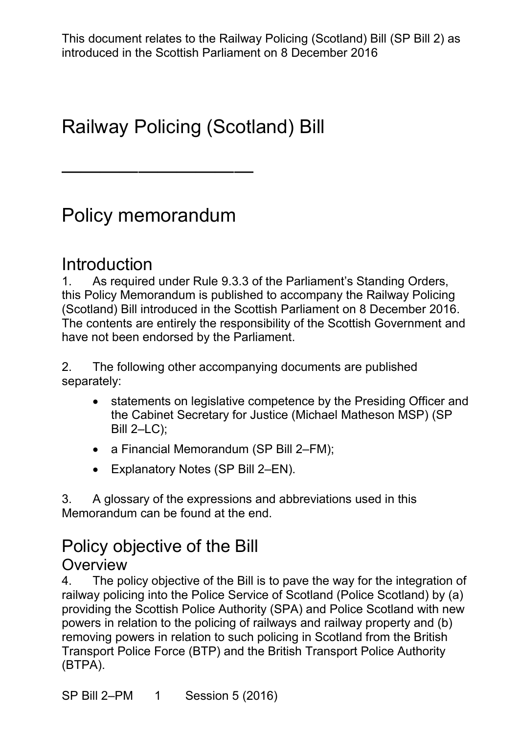## Railway Policing (Scotland) Bill

## Policy memorandum

——————————

#### **Introduction**

1. As required under Rule 9.3.3 of the Parliament's Standing Orders, this Policy Memorandum is published to accompany the Railway Policing (Scotland) Bill introduced in the Scottish Parliament on 8 December 2016. The contents are entirely the responsibility of the Scottish Government and have not been endorsed by the Parliament.

2. The following other accompanying documents are published separately:

- statements on legislative competence by the Presiding Officer and the Cabinet Secretary for Justice (Michael Matheson MSP) (SP Bill 2–LC);
- a Financial Memorandum (SP Bill 2–FM);
- Explanatory Notes (SP Bill 2–EN).

3. A glossary of the expressions and abbreviations used in this Memorandum can be found at the end.

## Policy objective of the Bill

#### **Overview**

4. The policy objective of the Bill is to pave the way for the integration of railway policing into the Police Service of Scotland (Police Scotland) by (a) providing the Scottish Police Authority (SPA) and Police Scotland with new powers in relation to the policing of railways and railway property and (b) removing powers in relation to such policing in Scotland from the British Transport Police Force (BTP) and the British Transport Police Authority (BTPA).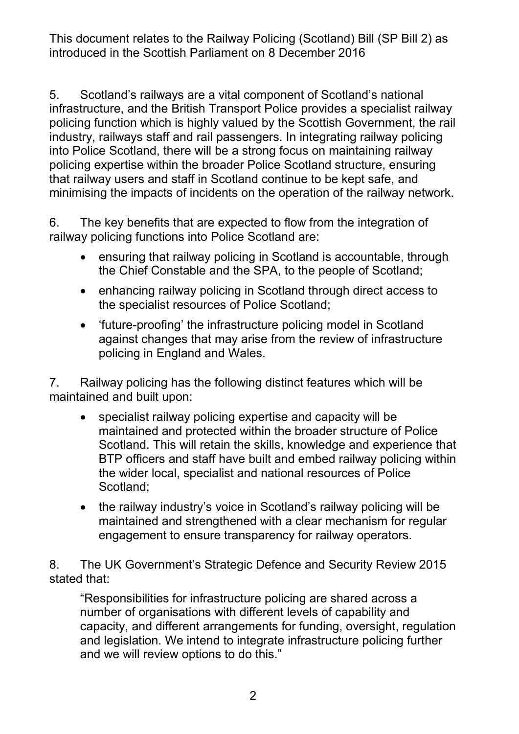5. Scotland's railways are a vital component of Scotland's national infrastructure, and the British Transport Police provides a specialist railway policing function which is highly valued by the Scottish Government, the rail industry, railways staff and rail passengers. In integrating railway policing into Police Scotland, there will be a strong focus on maintaining railway policing expertise within the broader Police Scotland structure, ensuring that railway users and staff in Scotland continue to be kept safe, and minimising the impacts of incidents on the operation of the railway network.

6. The key benefits that are expected to flow from the integration of railway policing functions into Police Scotland are:

- ensuring that railway policing in Scotland is accountable, through the Chief Constable and the SPA, to the people of Scotland;
- enhancing railway policing in Scotland through direct access to the specialist resources of Police Scotland;
- 'future-proofing' the infrastructure policing model in Scotland against changes that may arise from the review of infrastructure policing in England and Wales.

7. Railway policing has the following distinct features which will be maintained and built upon:

- specialist railway policing expertise and capacity will be maintained and protected within the broader structure of Police Scotland. This will retain the skills, knowledge and experience that BTP officers and staff have built and embed railway policing within the wider local, specialist and national resources of Police Scotland;
- the railway industry's voice in Scotland's railway policing will be maintained and strengthened with a clear mechanism for regular engagement to ensure transparency for railway operators.

8. The UK Government's Strategic Defence and Security Review 2015 stated that:

"Responsibilities for infrastructure policing are shared across a number of organisations with different levels of capability and capacity, and different arrangements for funding, oversight, regulation and legislation. We intend to integrate infrastructure policing further and we will review options to do this."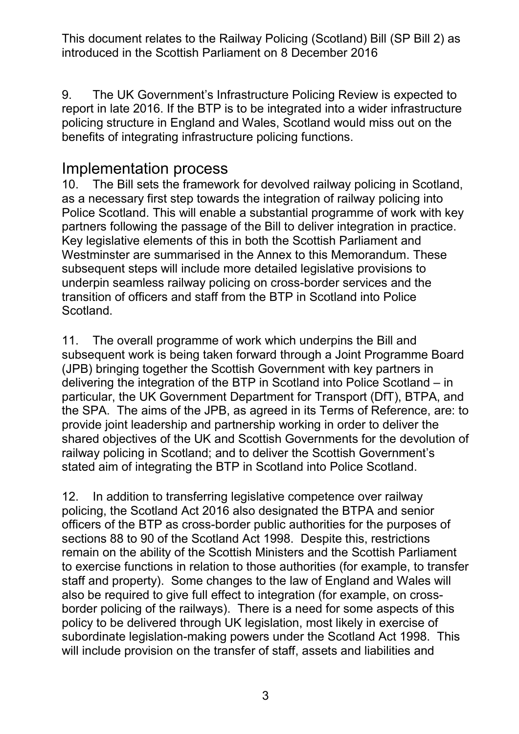9. The UK Government's Infrastructure Policing Review is expected to report in late 2016. If the BTP is to be integrated into a wider infrastructure policing structure in England and Wales, Scotland would miss out on the benefits of integrating infrastructure policing functions.

#### Implementation process

10. The Bill sets the framework for devolved railway policing in Scotland, as a necessary first step towards the integration of railway policing into Police Scotland. This will enable a substantial programme of work with key partners following the passage of the Bill to deliver integration in practice. Key legislative elements of this in both the Scottish Parliament and Westminster are summarised in the Annex to this Memorandum. These subsequent steps will include more detailed legislative provisions to underpin seamless railway policing on cross-border services and the transition of officers and staff from the BTP in Scotland into Police Scotland.

11. The overall programme of work which underpins the Bill and subsequent work is being taken forward through a Joint Programme Board (JPB) bringing together the Scottish Government with key partners in delivering the integration of the BTP in Scotland into Police Scotland – in particular, the UK Government Department for Transport (DfT), BTPA, and the SPA. The aims of the JPB, as agreed in its Terms of Reference, are: to provide joint leadership and partnership working in order to deliver the shared objectives of the UK and Scottish Governments for the devolution of railway policing in Scotland; and to deliver the Scottish Government's stated aim of integrating the BTP in Scotland into Police Scotland.

12. In addition to transferring legislative competence over railway policing, the Scotland Act 2016 also designated the BTPA and senior officers of the BTP as cross-border public authorities for the purposes of sections 88 to 90 of the Scotland Act 1998. Despite this, restrictions remain on the ability of the Scottish Ministers and the Scottish Parliament to exercise functions in relation to those authorities (for example, to transfer staff and property). Some changes to the law of England and Wales will also be required to give full effect to integration (for example, on crossborder policing of the railways). There is a need for some aspects of this policy to be delivered through UK legislation, most likely in exercise of subordinate legislation-making powers under the Scotland Act 1998. This will include provision on the transfer of staff, assets and liabilities and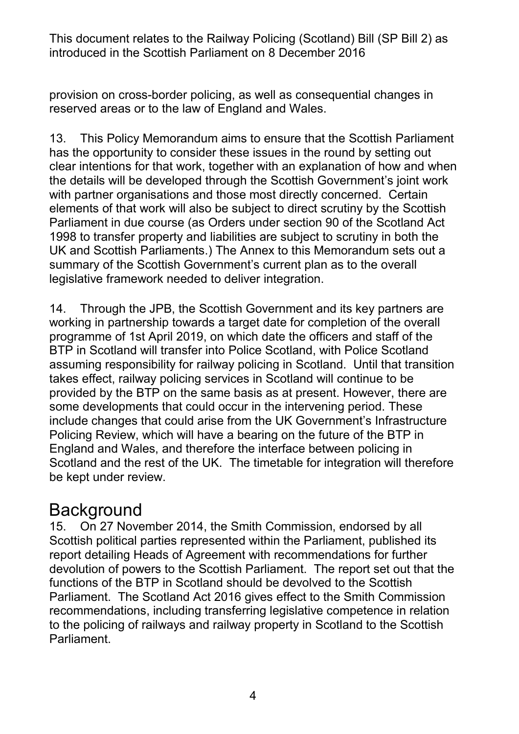provision on cross-border policing, as well as consequential changes in reserved areas or to the law of England and Wales.

13. This Policy Memorandum aims to ensure that the Scottish Parliament has the opportunity to consider these issues in the round by setting out clear intentions for that work, together with an explanation of how and when the details will be developed through the Scottish Government's joint work with partner organisations and those most directly concerned. Certain elements of that work will also be subject to direct scrutiny by the Scottish Parliament in due course (as Orders under section 90 of the Scotland Act 1998 to transfer property and liabilities are subject to scrutiny in both the UK and Scottish Parliaments.) The Annex to this Memorandum sets out a summary of the Scottish Government's current plan as to the overall legislative framework needed to deliver integration.

14. Through the JPB, the Scottish Government and its key partners are working in partnership towards a target date for completion of the overall programme of 1st April 2019, on which date the officers and staff of the BTP in Scotland will transfer into Police Scotland, with Police Scotland assuming responsibility for railway policing in Scotland. Until that transition takes effect, railway policing services in Scotland will continue to be provided by the BTP on the same basis as at present. However, there are some developments that could occur in the intervening period. These include changes that could arise from the UK Government's Infrastructure Policing Review, which will have a bearing on the future of the BTP in England and Wales, and therefore the interface between policing in Scotland and the rest of the UK. The timetable for integration will therefore be kept under review.

## **Background**

15. On 27 November 2014, the Smith Commission, endorsed by all Scottish political parties represented within the Parliament, published its report detailing Heads of Agreement with recommendations for further devolution of powers to the Scottish Parliament. The report set out that the functions of the BTP in Scotland should be devolved to the Scottish Parliament. The Scotland Act 2016 gives effect to the Smith Commission recommendations, including transferring legislative competence in relation to the policing of railways and railway property in Scotland to the Scottish Parliament.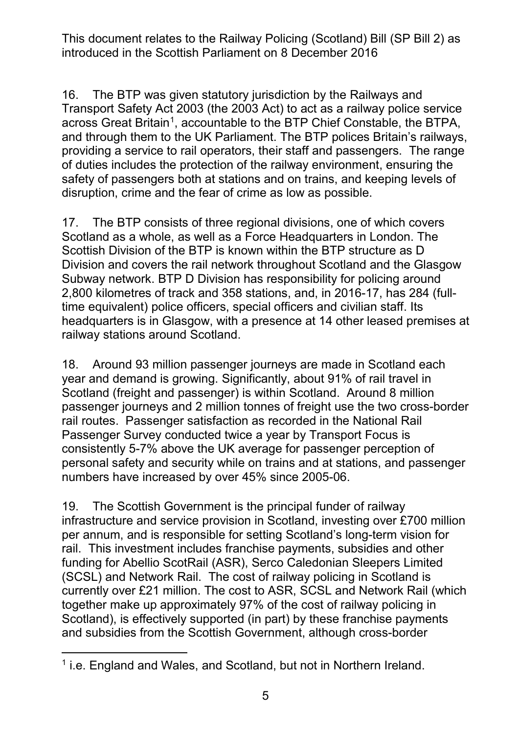16. The BTP was given statutory jurisdiction by the Railways and Transport Safety Act 2003 (the 2003 Act) to act as a railway police service across Great Britain<sup>[1](#page-4-0)</sup>, accountable to the BTP Chief Constable, the BTPA, and through them to the UK Parliament. The BTP polices Britain's railways, providing a service to rail operators, their staff and passengers. The range of duties includes the protection of the railway environment, ensuring the safety of passengers both at stations and on trains, and keeping levels of disruption, crime and the fear of crime as low as possible.

17. The BTP consists of three regional divisions, one of which covers Scotland as a whole, as well as a Force Headquarters in London. The Scottish Division of the BTP is known within the BTP structure as D Division and covers the rail network throughout Scotland and the Glasgow Subway network. BTP D Division has responsibility for policing around 2,800 kilometres of track and 358 stations, and, in 2016-17, has 284 (fulltime equivalent) police officers, special officers and civilian staff. Its headquarters is in Glasgow, with a presence at 14 other leased premises at railway stations around Scotland.

18. Around 93 million passenger journeys are made in Scotland each year and demand is growing. Significantly, about 91% of rail travel in Scotland (freight and passenger) is within Scotland. Around 8 million passenger journeys and 2 million tonnes of freight use the two cross-border rail routes. Passenger satisfaction as recorded in the National Rail Passenger Survey conducted twice a year by Transport Focus is consistently 5-7% above the UK average for passenger perception of personal safety and security while on trains and at stations, and passenger numbers have increased by over 45% since 2005-06.

19. The Scottish Government is the principal funder of railway infrastructure and service provision in Scotland, investing over £700 million per annum, and is responsible for setting Scotland's long-term vision for rail. This investment includes franchise payments, subsidies and other funding for Abellio ScotRail (ASR), Serco Caledonian Sleepers Limited (SCSL) and Network Rail. The cost of railway policing in Scotland is currently over £21 million. The cost to ASR, SCSL and Network Rail (which together make up approximately 97% of the cost of railway policing in Scotland), is effectively supported (in part) by these franchise payments and subsidies from the Scottish Government, although cross-border

<span id="page-4-0"></span><sup>-</sup> $1$  i.e. England and Wales, and Scotland, but not in Northern Ireland.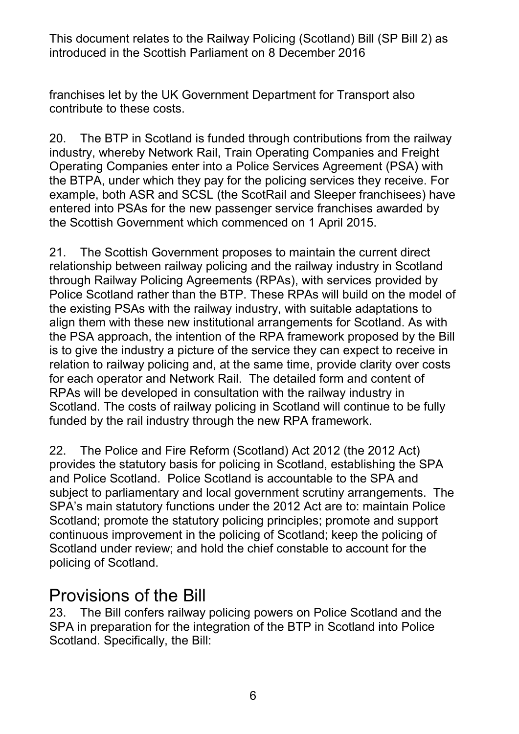franchises let by the UK Government Department for Transport also contribute to these costs.

20. The BTP in Scotland is funded through contributions from the railway industry, whereby Network Rail, Train Operating Companies and Freight Operating Companies enter into a Police Services Agreement (PSA) with the BTPA, under which they pay for the policing services they receive. For example, both ASR and SCSL (the ScotRail and Sleeper franchisees) have entered into PSAs for the new passenger service franchises awarded by the Scottish Government which commenced on 1 April 2015.

21. The Scottish Government proposes to maintain the current direct relationship between railway policing and the railway industry in Scotland through Railway Policing Agreements (RPAs), with services provided by Police Scotland rather than the BTP. These RPAs will build on the model of the existing PSAs with the railway industry, with suitable adaptations to align them with these new institutional arrangements for Scotland. As with the PSA approach, the intention of the RPA framework proposed by the Bill is to give the industry a picture of the service they can expect to receive in relation to railway policing and, at the same time, provide clarity over costs for each operator and Network Rail. The detailed form and content of RPAs will be developed in consultation with the railway industry in Scotland. The costs of railway policing in Scotland will continue to be fully funded by the rail industry through the new RPA framework.

22. The Police and Fire Reform (Scotland) Act 2012 (the 2012 Act) provides the statutory basis for policing in Scotland, establishing the SPA and Police Scotland. Police Scotland is accountable to the SPA and subject to parliamentary and local government scrutiny arrangements. The SPA's main statutory functions under the 2012 Act are to: maintain Police Scotland; promote the statutory policing principles; promote and support continuous improvement in the policing of Scotland; keep the policing of Scotland under review; and hold the chief constable to account for the policing of Scotland.

### Provisions of the Bill

23. The Bill confers railway policing powers on Police Scotland and the SPA in preparation for the integration of the BTP in Scotland into Police Scotland. Specifically, the Bill: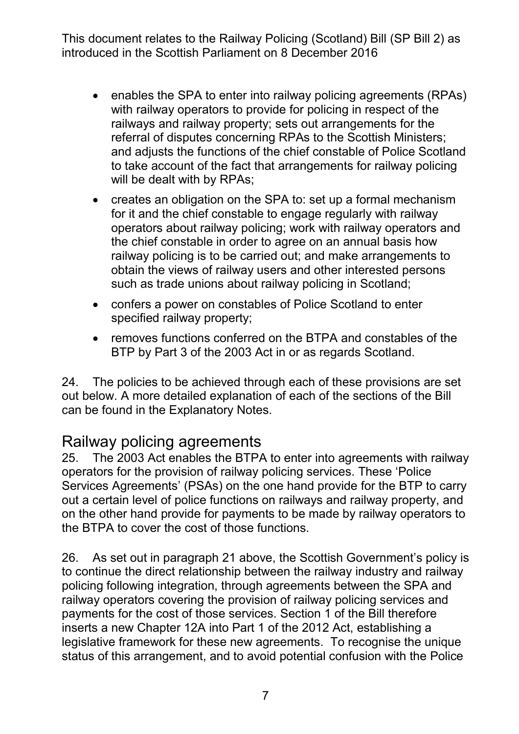- enables the SPA to enter into railway policing agreements (RPAs) with railway operators to provide for policing in respect of the railways and railway property; sets out arrangements for the referral of disputes concerning RPAs to the Scottish Ministers; and adjusts the functions of the chief constable of Police Scotland to take account of the fact that arrangements for railway policing will be dealt with by RPAs;
- creates an obligation on the SPA to: set up a formal mechanism for it and the chief constable to engage regularly with railway operators about railway policing; work with railway operators and the chief constable in order to agree on an annual basis how railway policing is to be carried out; and make arrangements to obtain the views of railway users and other interested persons such as trade unions about railway policing in Scotland;
- confers a power on constables of Police Scotland to enter specified railway property;
- removes functions conferred on the BTPA and constables of the BTP by Part 3 of the 2003 Act in or as regards Scotland.

24. The policies to be achieved through each of these provisions are set out below. A more detailed explanation of each of the sections of the Bill can be found in the Explanatory Notes.

#### Railway policing agreements

25. The 2003 Act enables the BTPA to enter into agreements with railway operators for the provision of railway policing services. These 'Police Services Agreements' (PSAs) on the one hand provide for the BTP to carry out a certain level of police functions on railways and railway property, and on the other hand provide for payments to be made by railway operators to the BTPA to cover the cost of those functions.

26. As set out in paragraph 21 above, the Scottish Government's policy is to continue the direct relationship between the railway industry and railway policing following integration, through agreements between the SPA and railway operators covering the provision of railway policing services and payments for the cost of those services. Section 1 of the Bill therefore inserts a new Chapter 12A into Part 1 of the 2012 Act, establishing a legislative framework for these new agreements. To recognise the unique status of this arrangement, and to avoid potential confusion with the Police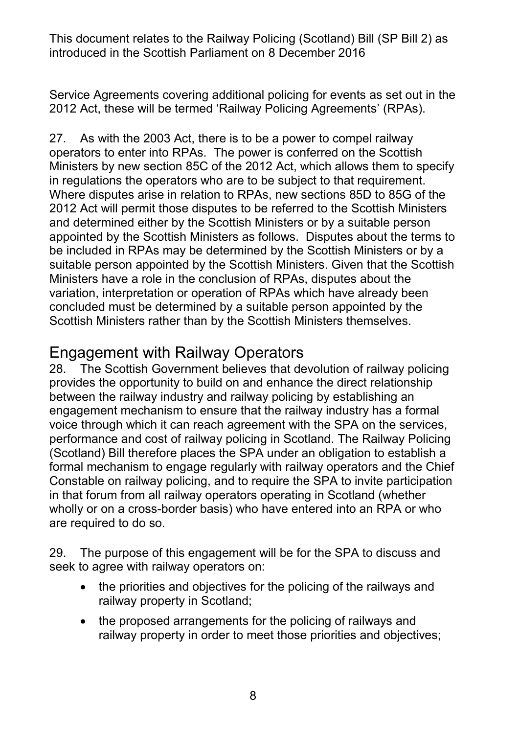Service Agreements covering additional policing for events as set out in the 2012 Act, these will be termed 'Railway Policing Agreements' (RPAs).

27. As with the 2003 Act, there is to be a power to compel railway operators to enter into RPAs. The power is conferred on the Scottish Ministers by new section 85C of the 2012 Act, which allows them to specify in regulations the operators who are to be subject to that requirement. Where disputes arise in relation to RPAs, new sections 85D to 85G of the 2012 Act will permit those disputes to be referred to the Scottish Ministers and determined either by the Scottish Ministers or by a suitable person appointed by the Scottish Ministers as follows. Disputes about the terms to be included in RPAs may be determined by the Scottish Ministers or by a suitable person appointed by the Scottish Ministers. Given that the Scottish Ministers have a role in the conclusion of RPAs, disputes about the variation, interpretation or operation of RPAs which have already been concluded must be determined by a suitable person appointed by the Scottish Ministers rather than by the Scottish Ministers themselves.

#### Engagement with Railway Operators

28. The Scottish Government believes that devolution of railway policing provides the opportunity to build on and enhance the direct relationship between the railway industry and railway policing by establishing an engagement mechanism to ensure that the railway industry has a formal voice through which it can reach agreement with the SPA on the services, performance and cost of railway policing in Scotland. The Railway Policing (Scotland) Bill therefore places the SPA under an obligation to establish a formal mechanism to engage regularly with railway operators and the Chief Constable on railway policing, and to require the SPA to invite participation in that forum from all railway operators operating in Scotland (whether wholly or on a cross-border basis) who have entered into an RPA or who are required to do so.

29. The purpose of this engagement will be for the SPA to discuss and seek to agree with railway operators on:

- the priorities and objectives for the policing of the railways and railway property in Scotland;
- the proposed arrangements for the policing of railways and railway property in order to meet those priorities and objectives;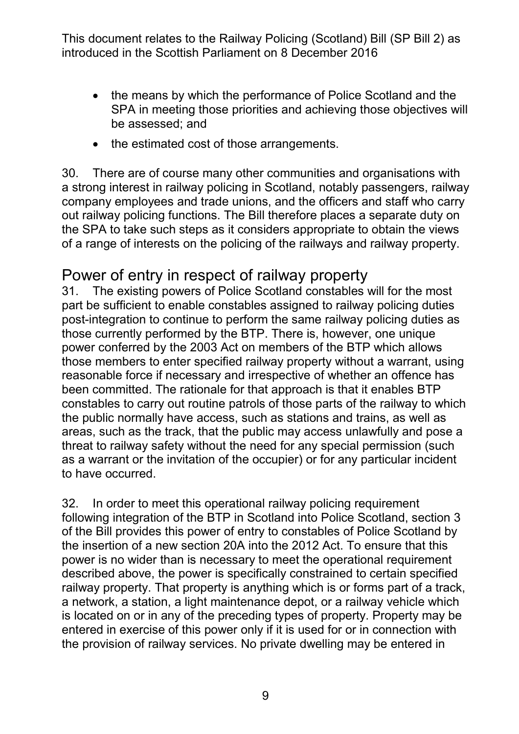- the means by which the performance of Police Scotland and the SPA in meeting those priorities and achieving those objectives will be assessed; and
- the estimated cost of those arrangements.

30. There are of course many other communities and organisations with a strong interest in railway policing in Scotland, notably passengers, railway company employees and trade unions, and the officers and staff who carry out railway policing functions. The Bill therefore places a separate duty on the SPA to take such steps as it considers appropriate to obtain the views of a range of interests on the policing of the railways and railway property.

# Power of entry in respect of railway property<br>31. The existing powers of Police Scotland constables

The existing powers of Police Scotland constables will for the most part be sufficient to enable constables assigned to railway policing duties post-integration to continue to perform the same railway policing duties as those currently performed by the BTP. There is, however, one unique power conferred by the 2003 Act on members of the BTP which allows those members to enter specified railway property without a warrant, using reasonable force if necessary and irrespective of whether an offence has been committed. The rationale for that approach is that it enables BTP constables to carry out routine patrols of those parts of the railway to which the public normally have access, such as stations and trains, as well as areas, such as the track, that the public may access unlawfully and pose a threat to railway safety without the need for any special permission (such as a warrant or the invitation of the occupier) or for any particular incident to have occurred.

32. In order to meet this operational railway policing requirement following integration of the BTP in Scotland into Police Scotland, section 3 of the Bill provides this power of entry to constables of Police Scotland by the insertion of a new section 20A into the 2012 Act. To ensure that this power is no wider than is necessary to meet the operational requirement described above, the power is specifically constrained to certain specified railway property. That property is anything which is or forms part of a track, a network, a station, a light maintenance depot, or a railway vehicle which is located on or in any of the preceding types of property. Property may be entered in exercise of this power only if it is used for or in connection with the provision of railway services. No private dwelling may be entered in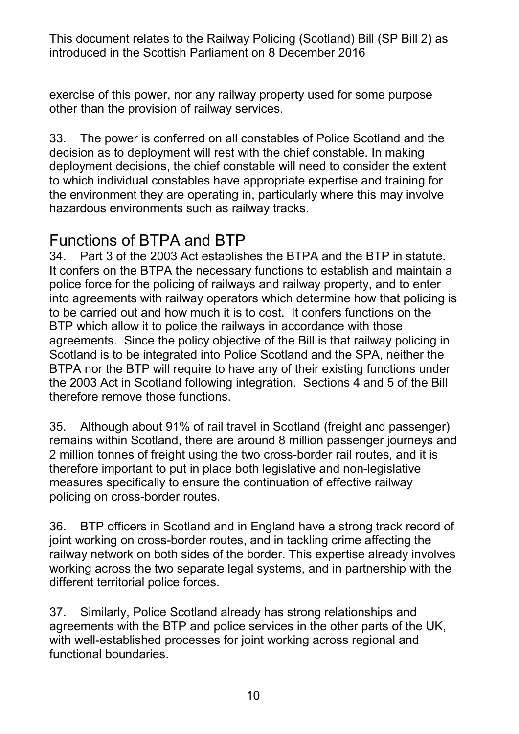exercise of this power, nor any railway property used for some purpose other than the provision of railway services.

33. The power is conferred on all constables of Police Scotland and the decision as to deployment will rest with the chief constable. In making deployment decisions, the chief constable will need to consider the extent to which individual constables have appropriate expertise and training for the environment they are operating in, particularly where this may involve hazardous environments such as railway tracks.

#### Functions of BTPA and BTP

34. Part 3 of the 2003 Act establishes the BTPA and the BTP in statute. It confers on the BTPA the necessary functions to establish and maintain a police force for the policing of railways and railway property, and to enter into agreements with railway operators which determine how that policing is to be carried out and how much it is to cost. It confers functions on the BTP which allow it to police the railways in accordance with those agreements. Since the policy objective of the Bill is that railway policing in Scotland is to be integrated into Police Scotland and the SPA, neither the BTPA nor the BTP will require to have any of their existing functions under the 2003 Act in Scotland following integration. Sections 4 and 5 of the Bill therefore remove those functions.

35. Although about 91% of rail travel in Scotland (freight and passenger) remains within Scotland, there are around 8 million passenger journeys and 2 million tonnes of freight using the two cross-border rail routes, and it is therefore important to put in place both legislative and non-legislative measures specifically to ensure the continuation of effective railway policing on cross-border routes.

36. BTP officers in Scotland and in England have a strong track record of joint working on cross-border routes, and in tackling crime affecting the railway network on both sides of the border. This expertise already involves working across the two separate legal systems, and in partnership with the different territorial police forces.

37. Similarly, Police Scotland already has strong relationships and agreements with the BTP and police services in the other parts of the UK, with well-established processes for joint working across regional and functional boundaries.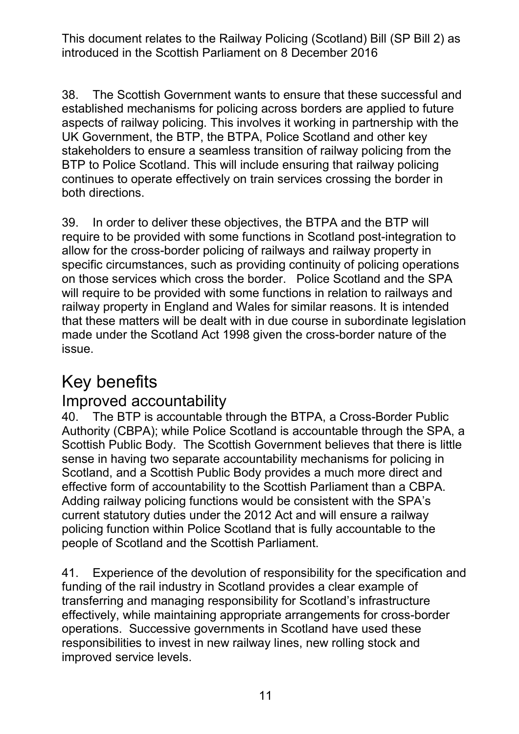38. The Scottish Government wants to ensure that these successful and established mechanisms for policing across borders are applied to future aspects of railway policing. This involves it working in partnership with the UK Government, the BTP, the BTPA, Police Scotland and other key stakeholders to ensure a seamless transition of railway policing from the BTP to Police Scotland. This will include ensuring that railway policing continues to operate effectively on train services crossing the border in both directions.

39. In order to deliver these objectives, the BTPA and the BTP will require to be provided with some functions in Scotland post-integration to allow for the cross-border policing of railways and railway property in specific circumstances, such as providing continuity of policing operations on those services which cross the border. Police Scotland and the SPA will require to be provided with some functions in relation to railways and railway property in England and Wales for similar reasons. It is intended that these matters will be dealt with in due course in subordinate legislation made under the Scotland Act 1998 given the cross-border nature of the issue.

## Key benefits

#### Improved accountability

40. The BTP is accountable through the BTPA, a Cross-Border Public Authority (CBPA); while Police Scotland is accountable through the SPA, a Scottish Public Body. The Scottish Government believes that there is little sense in having two separate accountability mechanisms for policing in Scotland, and a Scottish Public Body provides a much more direct and effective form of accountability to the Scottish Parliament than a CBPA. Adding railway policing functions would be consistent with the SPA's current statutory duties under the 2012 Act and will ensure a railway policing function within Police Scotland that is fully accountable to the people of Scotland and the Scottish Parliament.

41. Experience of the devolution of responsibility for the specification and funding of the rail industry in Scotland provides a clear example of transferring and managing responsibility for Scotland's infrastructure effectively, while maintaining appropriate arrangements for cross-border operations. Successive governments in Scotland have used these responsibilities to invest in new railway lines, new rolling stock and improved service levels.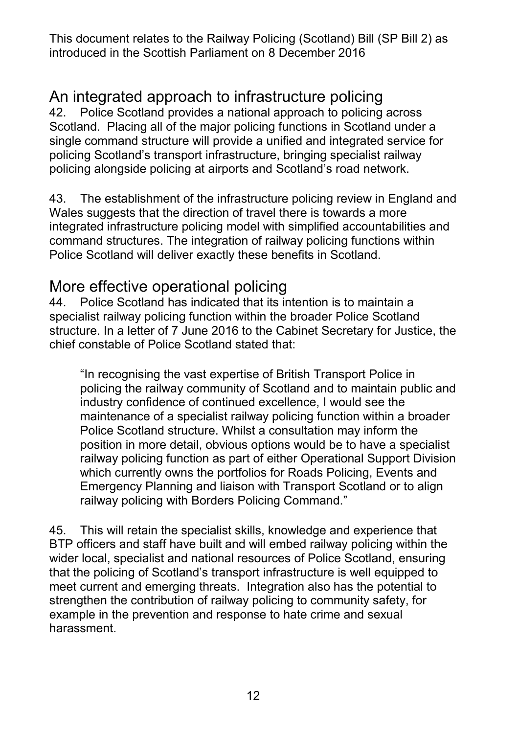# An integrated approach to infrastructure policing<br>42. Police Scotland provides a national approach to policing

42. Police Scotland provides a national approach to policing across Scotland. Placing all of the major policing functions in Scotland under a single command structure will provide a unified and integrated service for policing Scotland's transport infrastructure, bringing specialist railway policing alongside policing at airports and Scotland's road network.

43. The establishment of the infrastructure policing review in England and Wales suggests that the direction of travel there is towards a more integrated infrastructure policing model with simplified accountabilities and command structures. The integration of railway policing functions within Police Scotland will deliver exactly these benefits in Scotland.

# More effective operational policing<br>44. Police Scotland has indicated that its in

<span id="page-11-0"></span>Police Scotland has indicated that its intention is to maintain a specialist railway policing function within the broader Police Scotland structure. In a letter of 7 June 2016 to the Cabinet Secretary for Justice, the chief constable of Police Scotland stated that:

"In recognising the vast expertise of British Transport Police in policing the railway community of Scotland and to maintain public and industry confidence of continued excellence, I would see the maintenance of a specialist railway policing function within a broader Police Scotland structure. Whilst a consultation may inform the position in more detail, obvious options would be to have a specialist railway policing function as part of either Operational Support Division which currently owns the portfolios for Roads Policing, Events and Emergency Planning and liaison with Transport Scotland or to align railway policing with Borders Policing Command."

45. This will retain the specialist skills, knowledge and experience that BTP officers and staff have built and will embed railway policing within the wider local, specialist and national resources of Police Scotland, ensuring that the policing of Scotland's transport infrastructure is well equipped to meet current and emerging threats. Integration also has the potential to strengthen the contribution of railway policing to community safety, for example in the prevention and response to hate crime and sexual harassment.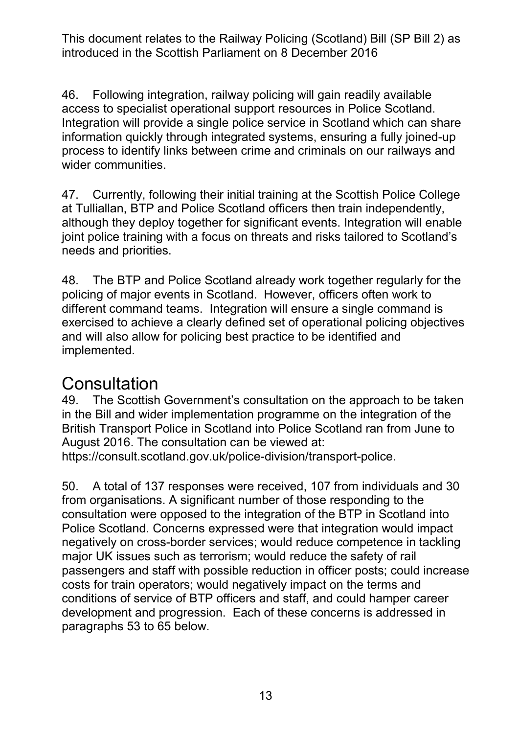46. Following integration, railway policing will gain readily available access to specialist operational support resources in Police Scotland. Integration will provide a single police service in Scotland which can share information quickly through integrated systems, ensuring a fully joined-up process to identify links between crime and criminals on our railways and wider communities.

47. Currently, following their initial training at the Scottish Police College at Tulliallan, BTP and Police Scotland officers then train independently, although they deploy together for significant events. Integration will enable joint police training with a focus on threats and risks tailored to Scotland's needs and priorities.

48. The BTP and Police Scotland already work together regularly for the policing of major events in Scotland. However, officers often work to different command teams. Integration will ensure a single command is exercised to achieve a clearly defined set of operational policing objectives and will also allow for policing best practice to be identified and implemented.

### **Consultation**

49. The Scottish Government's consultation on the approach to be taken in the Bill and wider implementation programme on the integration of the British Transport Police in Scotland into Police Scotland ran from June to August 2016. The consultation can be viewed at:

[https://consult.scotland.gov.uk/police-division/transport-police.](https://consult.scotland.gov.uk/police-division/transport-police)

50. A total of 137 responses were received, 107 from individuals and 30 from organisations. A significant number of those responding to the consultation were opposed to the integration of the BTP in Scotland into Police Scotland. Concerns expressed were that integration would impact negatively on cross-border services; would reduce competence in tackling major UK issues such as terrorism; would reduce the safety of rail passengers and staff with possible reduction in officer posts; could increase costs for train operators; would negatively impact on the terms and conditions of service of BTP officers and staff, and could hamper career development and progression. Each of these concerns is addressed in paragraphs 53 to 65 below.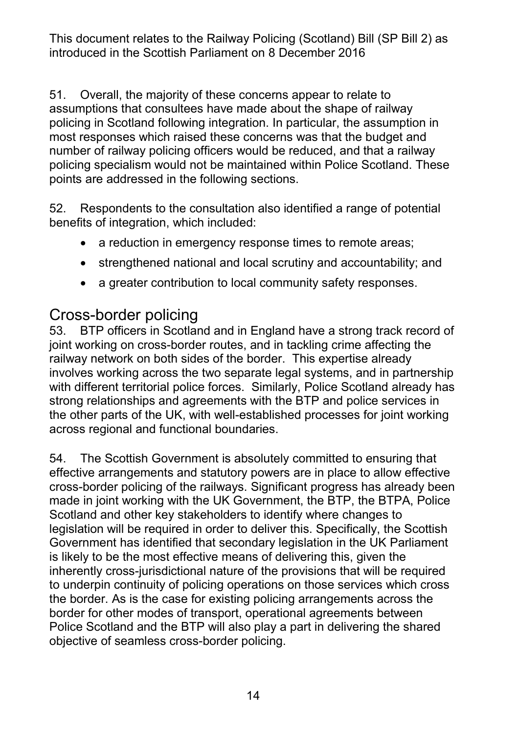51. Overall, the majority of these concerns appear to relate to assumptions that consultees have made about the shape of railway policing in Scotland following integration. In particular, the assumption in most responses which raised these concerns was that the budget and number of railway policing officers would be reduced, and that a railway policing specialism would not be maintained within Police Scotland. These points are addressed in the following sections.

52. Respondents to the consultation also identified a range of potential benefits of integration, which included:

- a reduction in emergency response times to remote areas;
- strengthened national and local scrutiny and accountability; and
- a greater contribution to local community safety responses.

#### Cross-border policing

53. BTP officers in Scotland and in England have a strong track record of joint working on cross-border routes, and in tackling crime affecting the railway network on both sides of the border. This expertise already involves working across the two separate legal systems, and in partnership with different territorial police forces. Similarly, Police Scotland already has strong relationships and agreements with the BTP and police services in the other parts of the UK, with well-established processes for joint working across regional and functional boundaries.

54. The Scottish Government is absolutely committed to ensuring that effective arrangements and statutory powers are in place to allow effective cross-border policing of the railways. Significant progress has already been made in joint working with the UK Government, the BTP, the BTPA, Police Scotland and other key stakeholders to identify where changes to legislation will be required in order to deliver this. Specifically, the Scottish Government has identified that secondary legislation in the UK Parliament is likely to be the most effective means of delivering this, given the inherently cross-jurisdictional nature of the provisions that will be required to underpin continuity of policing operations on those services which cross the border. As is the case for existing policing arrangements across the border for other modes of transport, operational agreements between Police Scotland and the BTP will also play a part in delivering the shared objective of seamless cross-border policing.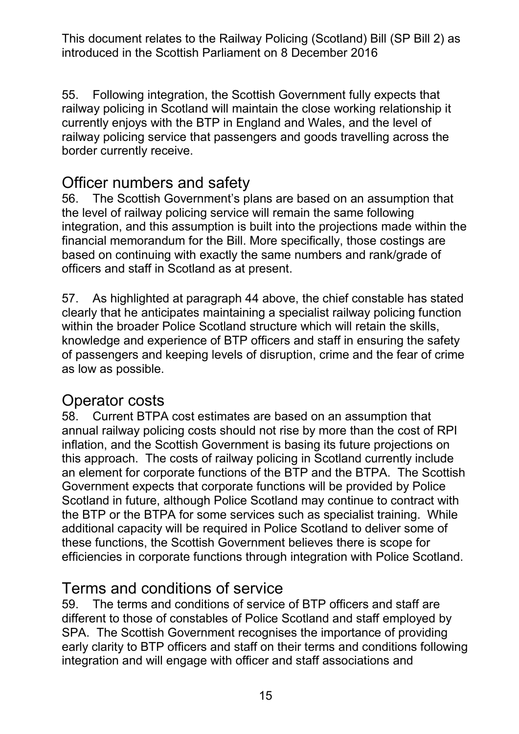55. Following integration, the Scottish Government fully expects that railway policing in Scotland will maintain the close working relationship it currently enjoys with the BTP in England and Wales, and the level of railway policing service that passengers and goods travelling across the border currently receive.

#### Officer numbers and safety

56. The Scottish Government's plans are based on an assumption that the level of railway policing service will remain the same following integration, and this assumption is built into the projections made within the financial memorandum for the Bill. More specifically, those costings are based on continuing with exactly the same numbers and rank/grade of officers and staff in Scotland as at present.

57. As highlighted at paragraph [44](#page-11-0) above, the chief constable has stated clearly that he anticipates maintaining a specialist railway policing function within the broader Police Scotland structure which will retain the skills, knowledge and experience of BTP officers and staff in ensuring the safety of passengers and keeping levels of disruption, crime and the fear of crime as low as possible.

#### Operator costs

58. Current BTPA cost estimates are based on an assumption that annual railway policing costs should not rise by more than the cost of RPI inflation, and the Scottish Government is basing its future projections on this approach. The costs of railway policing in Scotland currently include an element for corporate functions of the BTP and the BTPA. The Scottish Government expects that corporate functions will be provided by Police Scotland in future, although Police Scotland may continue to contract with the BTP or the BTPA for some services such as specialist training. While additional capacity will be required in Police Scotland to deliver some of these functions, the Scottish Government believes there is scope for efficiencies in corporate functions through integration with Police Scotland.

#### Terms and conditions of service

59. The terms and conditions of service of BTP officers and staff are different to those of constables of Police Scotland and staff employed by SPA. The Scottish Government recognises the importance of providing early clarity to BTP officers and staff on their terms and conditions following integration and will engage with officer and staff associations and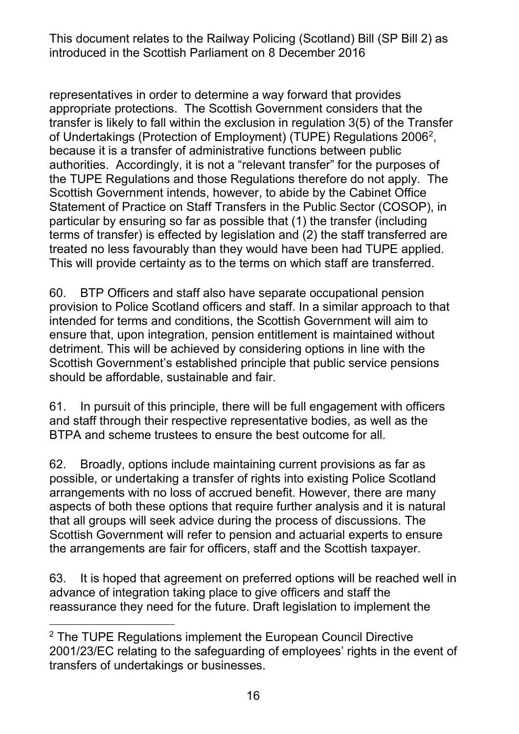representatives in order to determine a way forward that provides appropriate protections. The Scottish Government considers that the transfer is likely to fall within the exclusion in regulation 3(5) of the Transfer of Undertakings (Protection of Employment) (TUPE) Regulations 2006[2](#page-15-0), because it is a transfer of administrative functions between public authorities. Accordingly, it is not a "relevant transfer" for the purposes of the TUPE Regulations and those Regulations therefore do not apply. The Scottish Government intends, however, to abide by the Cabinet Office Statement of Practice on Staff Transfers in the Public Sector (COSOP), in particular by ensuring so far as possible that (1) the transfer (including terms of transfer) is effected by legislation and (2) the staff transferred are treated no less favourably than they would have been had TUPE applied. This will provide certainty as to the terms on which staff are transferred.

60. BTP Officers and staff also have separate occupational pension provision to Police Scotland officers and staff. In a similar approach to that intended for terms and conditions, the Scottish Government will aim to ensure that, upon integration, pension entitlement is maintained without detriment. This will be achieved by considering options in line with the Scottish Government's established principle that public service pensions should be affordable, sustainable and fair.

61. In pursuit of this principle, there will be full engagement with officers and staff through their respective representative bodies, as well as the BTPA and scheme trustees to ensure the best outcome for all.

62. Broadly, options include maintaining current provisions as far as possible, or undertaking a transfer of rights into existing Police Scotland arrangements with no loss of accrued benefit. However, there are many aspects of both these options that require further analysis and it is natural that all groups will seek advice during the process of discussions. The Scottish Government will refer to pension and actuarial experts to ensure the arrangements are fair for officers, staff and the Scottish taxpayer.

63. It is hoped that agreement on preferred options will be reached well in advance of integration taking place to give officers and staff the reassurance they need for the future. Draft legislation to implement the

<span id="page-15-0"></span><sup>-</sup><sup>2</sup> The TUPE Regulations implement the European Council Directive 2001/23/EC relating to the safeguarding of employees' rights in the event of transfers of undertakings or businesses.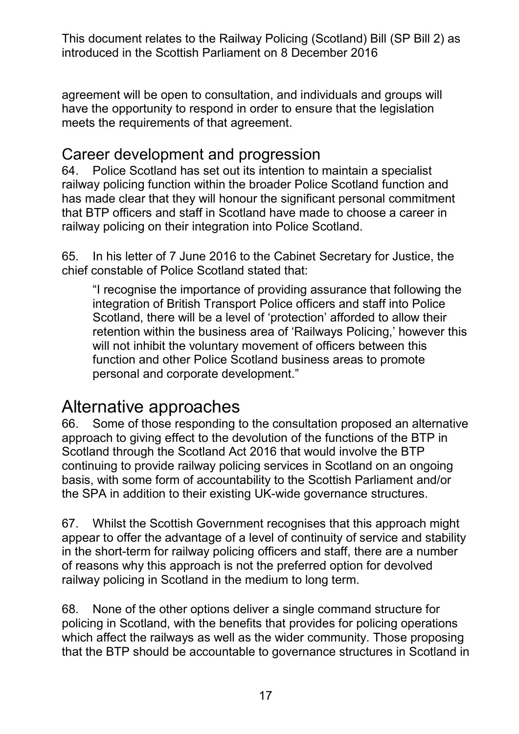agreement will be open to consultation, and individuals and groups will have the opportunity to respond in order to ensure that the legislation meets the requirements of that agreement.

#### Career development and progression

64. Police Scotland has set out its intention to maintain a specialist railway policing function within the broader Police Scotland function and has made clear that they will honour the significant personal commitment that BTP officers and staff in Scotland have made to choose a career in railway policing on their integration into Police Scotland.

65. In his letter of 7 June 2016 to the Cabinet Secretary for Justice, the chief constable of Police Scotland stated that:

"I recognise the importance of providing assurance that following the integration of British Transport Police officers and staff into Police Scotland, there will be a level of 'protection' afforded to allow their retention within the business area of 'Railways Policing,' however this will not inhibit the voluntary movement of officers between this function and other Police Scotland business areas to promote personal and corporate development."

### Alternative approaches

66. Some of those responding to the consultation proposed an alternative approach to giving effect to the devolution of the functions of the BTP in Scotland through the Scotland Act 2016 that would involve the BTP continuing to provide railway policing services in Scotland on an ongoing basis, with some form of accountability to the Scottish Parliament and/or the SPA in addition to their existing UK-wide governance structures.

67. Whilst the Scottish Government recognises that this approach might appear to offer the advantage of a level of continuity of service and stability in the short-term for railway policing officers and staff, there are a number of reasons why this approach is not the preferred option for devolved railway policing in Scotland in the medium to long term.

68. None of the other options deliver a single command structure for policing in Scotland, with the benefits that provides for policing operations which affect the railways as well as the wider community. Those proposing that the BTP should be accountable to governance structures in Scotland in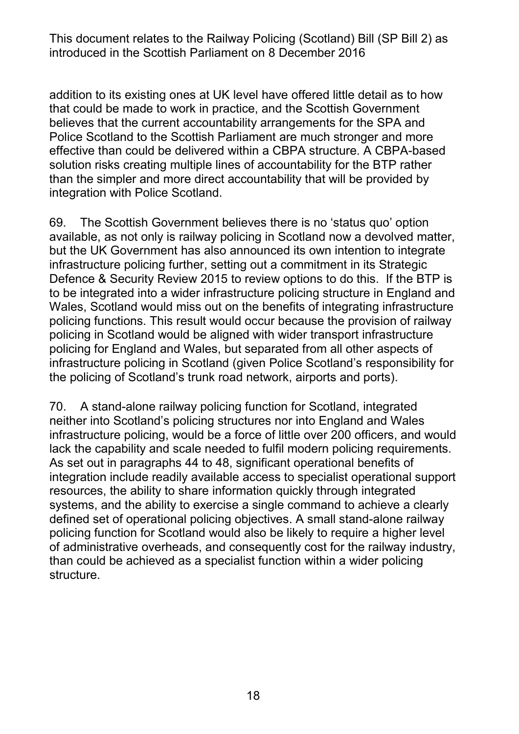addition to its existing ones at UK level have offered little detail as to how that could be made to work in practice, and the Scottish Government believes that the current accountability arrangements for the SPA and Police Scotland to the Scottish Parliament are much stronger and more effective than could be delivered within a CBPA structure. A CBPA-based solution risks creating multiple lines of accountability for the BTP rather than the simpler and more direct accountability that will be provided by integration with Police Scotland.

69. The Scottish Government believes there is no 'status quo' option available, as not only is railway policing in Scotland now a devolved matter, but the UK Government has also announced its own intention to integrate infrastructure policing further, setting out a commitment in its Strategic Defence & Security Review 2015 to review options to do this. If the BTP is to be integrated into a wider infrastructure policing structure in England and Wales, Scotland would miss out on the benefits of integrating infrastructure policing functions. This result would occur because the provision of railway policing in Scotland would be aligned with wider transport infrastructure policing for England and Wales, but separated from all other aspects of infrastructure policing in Scotland (given Police Scotland's responsibility for the policing of Scotland's trunk road network, airports and ports).

70. A stand-alone railway policing function for Scotland, integrated neither into Scotland's policing structures nor into England and Wales infrastructure policing, would be a force of little over 200 officers, and would lack the capability and scale needed to fulfil modern policing requirements. As set out in paragraphs 44 to 48, significant operational benefits of integration include readily available access to specialist operational support resources, the ability to share information quickly through integrated systems, and the ability to exercise a single command to achieve a clearly defined set of operational policing objectives. A small stand-alone railway policing function for Scotland would also be likely to require a higher level of administrative overheads, and consequently cost for the railway industry, than could be achieved as a specialist function within a wider policing structure.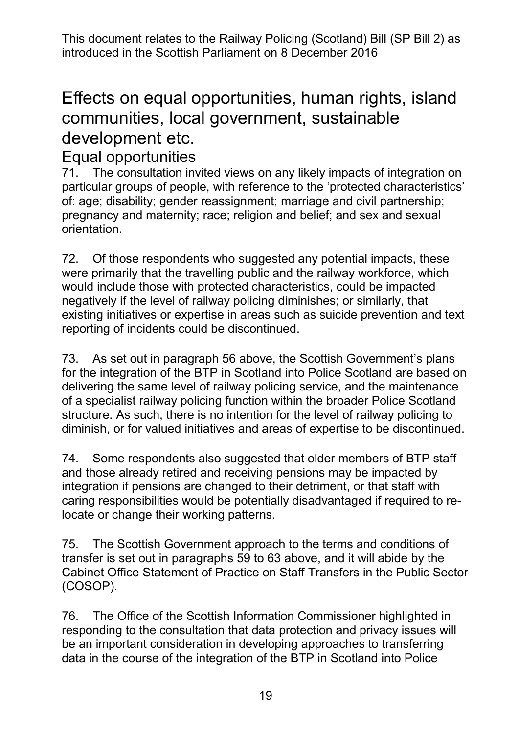## Effects on equal opportunities, human rights, island communities, local government, sustainable development etc.

# Equal opportunities<br>71. The consultation in

The consultation invited views on any likely impacts of integration on particular groups of people, with reference to the 'protected characteristics' of: age; disability; gender reassignment; marriage and civil partnership; pregnancy and maternity; race; religion and belief; and sex and sexual orientation.

72. Of those respondents who suggested any potential impacts, these were primarily that the travelling public and the railway workforce, which would include those with protected characteristics, could be impacted negatively if the level of railway policing diminishes; or similarly, that existing initiatives or expertise in areas such as suicide prevention and text reporting of incidents could be discontinued.

73. As set out in paragraph 56 above, the Scottish Government's plans for the integration of the BTP in Scotland into Police Scotland are based on delivering the same level of railway policing service, and the maintenance of a specialist railway policing function within the broader Police Scotland structure. As such, there is no intention for the level of railway policing to diminish, or for valued initiatives and areas of expertise to be discontinued.

74. Some respondents also suggested that older members of BTP staff and those already retired and receiving pensions may be impacted by integration if pensions are changed to their detriment, or that staff with caring responsibilities would be potentially disadvantaged if required to relocate or change their working patterns.

75. The Scottish Government approach to the terms and conditions of transfer is set out in paragraphs 59 to 63 above, and it will abide by the Cabinet Office Statement of Practice on Staff Transfers in the Public Sector (COSOP).

76. The Office of the Scottish Information Commissioner highlighted in responding to the consultation that data protection and privacy issues will be an important consideration in developing approaches to transferring data in the course of the integration of the BTP in Scotland into Police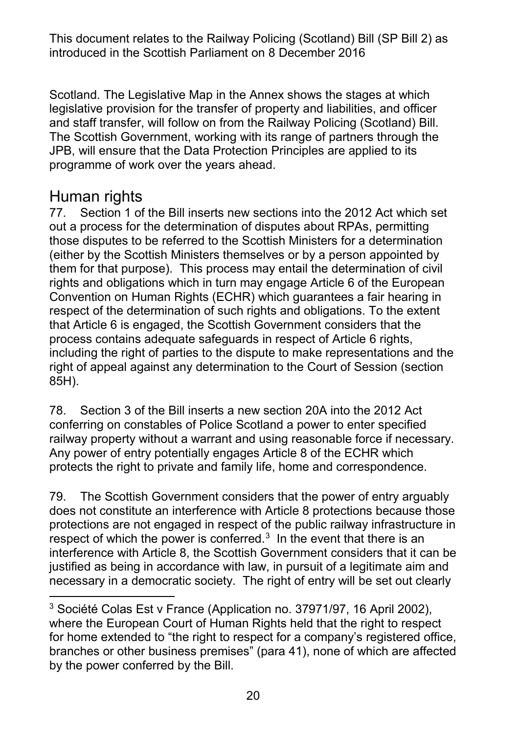Scotland. The Legislative Map in the Annex shows the stages at which legislative provision for the transfer of property and liabilities, and officer and staff transfer, will follow on from the Railway Policing (Scotland) Bill. The Scottish Government, working with its range of partners through the JPB, will ensure that the Data Protection Principles are applied to its programme of work over the years ahead.

#### Human rights

77. Section 1 of the Bill inserts new sections into the 2012 Act which set out a process for the determination of disputes about RPAs, permitting those disputes to be referred to the Scottish Ministers for a determination (either by the Scottish Ministers themselves or by a person appointed by them for that purpose). This process may entail the determination of civil rights and obligations which in turn may engage Article 6 of the European Convention on Human Rights (ECHR) which guarantees a fair hearing in respect of the determination of such rights and obligations. To the extent that Article 6 is engaged, the Scottish Government considers that the process contains adequate safeguards in respect of Article 6 rights, including the right of parties to the dispute to make representations and the right of appeal against any determination to the Court of Session (section 85H).

78. Section 3 of the Bill inserts a new section 20A into the 2012 Act conferring on constables of Police Scotland a power to enter specified railway property without a warrant and using reasonable force if necessary. Any power of entry potentially engages Article 8 of the ECHR which protects the right to private and family life, home and correspondence.

79. The Scottish Government considers that the power of entry arguably does not constitute an interference with Article 8 protections because those protections are not engaged in respect of the public railway infrastructure in respect of which the power is conferred. $3$  In the event that there is an interference with Article 8, the Scottish Government considers that it can be justified as being in accordance with law, in pursuit of a legitimate aim and necessary in a democratic society. The right of entry will be set out clearly

<span id="page-19-0"></span><sup>-</sup><sup>3</sup> Société Colas Est v France (Application no. 37971/97, 16 April 2002), where the European Court of Human Rights held that the right to respect for home extended to "the right to respect for a company's registered office, branches or other business premises" (para 41), none of which are affected by the power conferred by the Bill.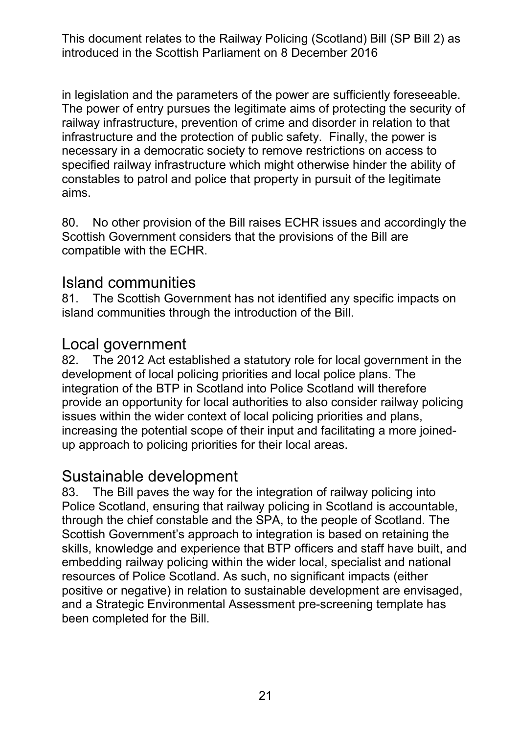in legislation and the parameters of the power are sufficiently foreseeable. The power of entry pursues the legitimate aims of protecting the security of railway infrastructure, prevention of crime and disorder in relation to that infrastructure and the protection of public safety. Finally, the power is necessary in a democratic society to remove restrictions on access to specified railway infrastructure which might otherwise hinder the ability of constables to patrol and police that property in pursuit of the legitimate aims.

80. No other provision of the Bill raises ECHR issues and accordingly the Scottish Government considers that the provisions of the Bill are compatible with the ECHR.

#### Island communities

81. The Scottish Government has not identified any specific impacts on island communities through the introduction of the Bill.

#### Local government

82. The 2012 Act established a statutory role for local government in the development of local policing priorities and local police plans. The integration of the BTP in Scotland into Police Scotland will therefore provide an opportunity for local authorities to also consider railway policing issues within the wider context of local policing priorities and plans, increasing the potential scope of their input and facilitating a more joinedup approach to policing priorities for their local areas.

#### Sustainable development

83. The Bill paves the way for the integration of railway policing into Police Scotland, ensuring that railway policing in Scotland is accountable, through the chief constable and the SPA, to the people of Scotland. The Scottish Government's approach to integration is based on retaining the skills, knowledge and experience that BTP officers and staff have built, and embedding railway policing within the wider local, specialist and national resources of Police Scotland. As such, no significant impacts (either positive or negative) in relation to sustainable development are envisaged, and a Strategic Environmental Assessment pre-screening template has been completed for the Bill.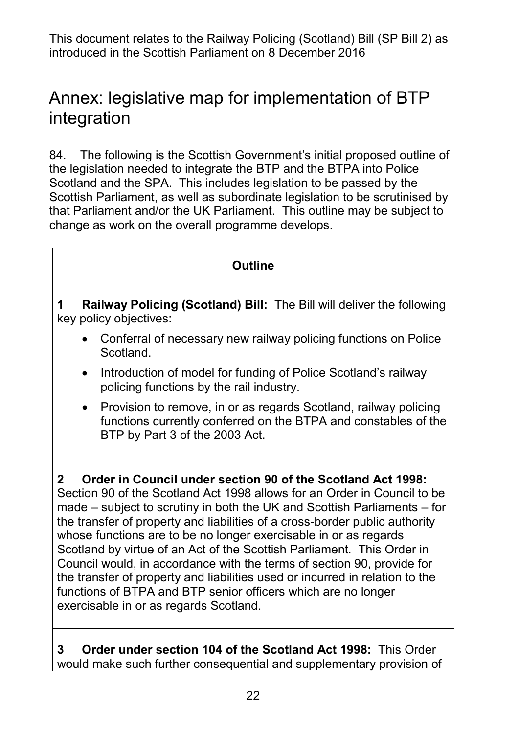## Annex: legislative map for implementation of BTP integration

84. The following is the Scottish Government's initial proposed outline of the legislation needed to integrate the BTP and the BTPA into Police Scotland and the SPA. This includes legislation to be passed by the Scottish Parliament, as well as subordinate legislation to be scrutinised by that Parliament and/or the UK Parliament. This outline may be subject to change as work on the overall programme develops.

#### **Outline 1 Railway Policing (Scotland) Bill:** The Bill will deliver the following key policy objectives: • Conferral of necessary new railway policing functions on Police Scotland. • Introduction of model for funding of Police Scotland's railway policing functions by the rail industry. • Provision to remove, in or as regards Scotland, railway policing functions currently conferred on the BTPA and constables of the BTP by Part 3 of the 2003 Act. **2 Order in Council under section 90 of the Scotland Act 1998:**  Section 90 of the Scotland Act 1998 allows for an Order in Council to be made – subject to scrutiny in both the UK and Scottish Parliaments – for the transfer of property and liabilities of a cross-border public authority whose functions are to be no longer exercisable in or as regards Scotland by virtue of an Act of the Scottish Parliament. This Order in Council would, in accordance with the terms of section 90, provide for the transfer of property and liabilities used or incurred in relation to the functions of BTPA and BTP senior officers which are no longer

**3 Order under section 104 of the Scotland Act 1998:** This Order would make such further consequential and supplementary provision of

exercisable in or as regards Scotland.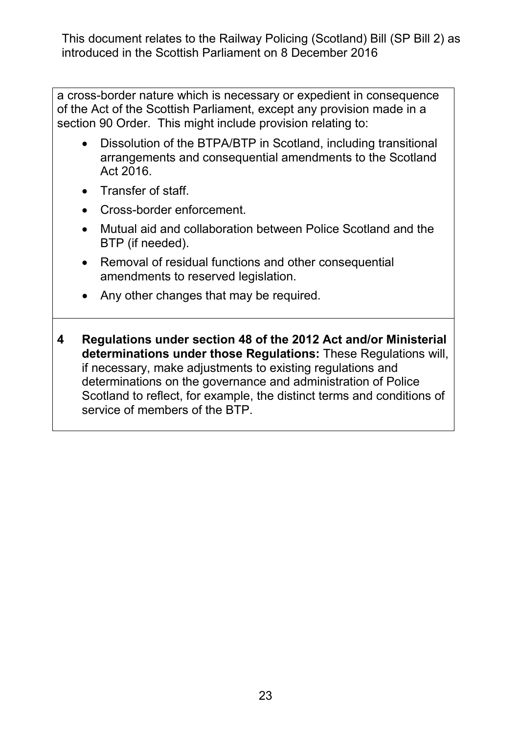a cross-border nature which is necessary or expedient in consequence of the Act of the Scottish Parliament, except any provision made in a section 90 Order. This might include provision relating to:

- Dissolution of the BTPA/BTP in Scotland, including transitional arrangements and consequential amendments to the Scotland Act 2016.
- Transfer of staff.
- Cross-border enforcement.
- Mutual aid and collaboration between Police Scotland and the BTP (if needed).
- Removal of residual functions and other consequential amendments to reserved legislation.
- Any other changes that may be required.
- **4 Regulations under section 48 of the 2012 Act and/or Ministerial determinations under those Regulations:** These Regulations will, if necessary, make adjustments to existing regulations and determinations on the governance and administration of Police Scotland to reflect, for example, the distinct terms and conditions of service of members of the BTP.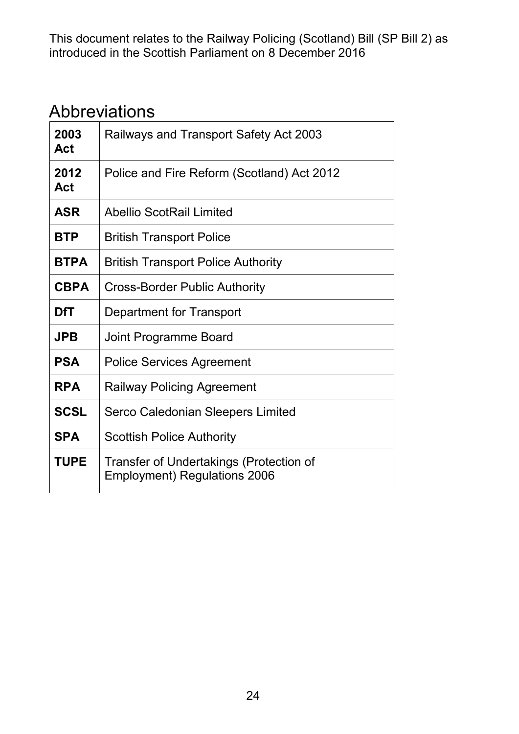## Abbreviations

| 2003<br><b>Act</b> | Railways and Transport Safety Act 2003                                         |
|--------------------|--------------------------------------------------------------------------------|
| 2012<br>Act        | Police and Fire Reform (Scotland) Act 2012                                     |
| <b>ASR</b>         | <b>Abellio ScotRail Limited</b>                                                |
| <b>BTP</b>         | <b>British Transport Police</b>                                                |
| <b>BTPA</b>        | <b>British Transport Police Authority</b>                                      |
| <b>CBPA</b>        | Cross-Border Public Authority                                                  |
| DfT                | Department for Transport                                                       |
| <b>JPB</b>         | Joint Programme Board                                                          |
| <b>PSA</b>         | <b>Police Services Agreement</b>                                               |
| <b>RPA</b>         | <b>Railway Policing Agreement</b>                                              |
| <b>SCSL</b>        | Serco Caledonian Sleepers Limited                                              |
| <b>SPA</b>         | <b>Scottish Police Authority</b>                                               |
| <b>TUPE</b>        | Transfer of Undertakings (Protection of<br><b>Employment) Regulations 2006</b> |